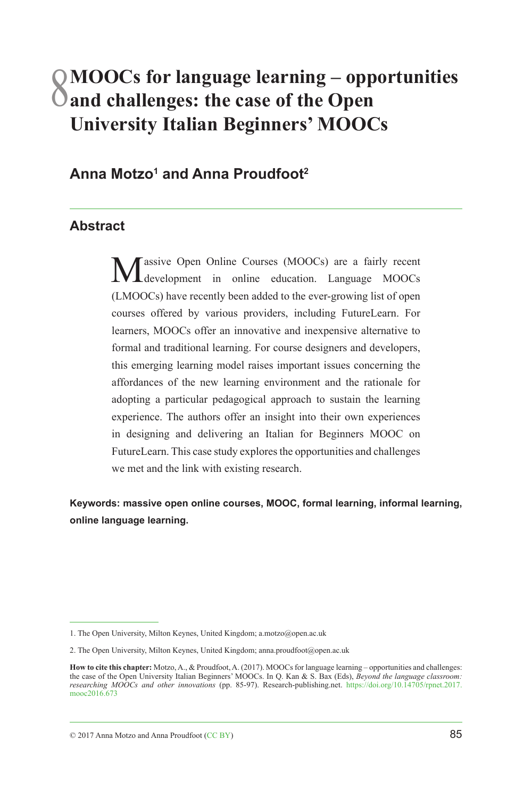# 8**MOOCs for language learning – opportunities and challenges: the case of the Open University Italian Beginners' MOOCs**

# **Anna Motzo1 and Anna Proudfoot2**

#### **Abstract**

assive Open Online Courses (MOOCs) are a fairly recent development in online education. Language MOOCs (LMOOCs) have recently been added to the ever-growing list of open courses offered by various providers, including FutureLearn. For learners, MOOCs offer an innovative and inexpensive alternative to formal and traditional learning. For course designers and developers, this emerging learning model raises important issues concerning the affordances of the new learning environment and the rationale for adopting a particular pedagogical approach to sustain the learning experience. The authors offer an insight into their own experiences in designing and delivering an Italian for Beginners MOOC on FutureLearn. This case study explores the opportunities and challenges we met and the link with existing research.

**Keywords: massive open online courses, MOOC, formal learning, informal learning, online language learning.**

<sup>1.</sup> The Open University, Milton Keynes, United Kingdom; a.motzo@open.ac.uk

<sup>2.</sup> The Open University, Milton Keynes, United Kingdom; anna.proudfoot@open.ac.uk

**How to cite this chapter:** Motzo, A., & Proudfoot, A. (2017). MOOCs for language learning – opportunities and challenges: the case of the Open University Italian Beginners' MOOCs. In Q. Kan & S. Bax (Eds), *Beyond the language classroom:*<br>researching MOOCs and other innovations (pp. 85-97). Research-publishing.net. https://doi.org/10.14705/rp [mooc2016.673](https://doi.org/10.14705/rpnet.2017.mooc2016.673)

 $\heartsuit$  2017 Anna Motzo and Anna Proudfoot ([CC BY](https://creativecommons.org/))  $85$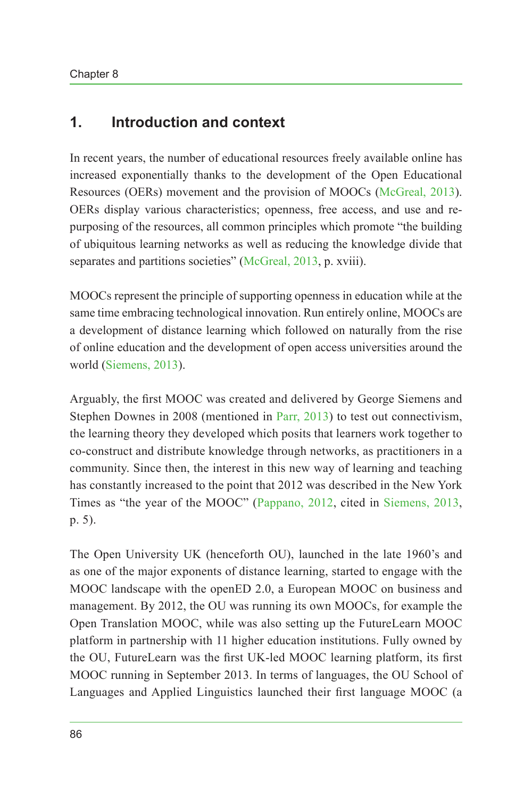# **1. Introduction and context**

In recent years, the number of educational resources freely available online has increased exponentially thanks to the development of the Open Educational Resources (OERs) movement and the provision of MOOCs [\(McGreal, 2013](#page-12-0)). OERs display various characteristics; openness, free access, and use and repurposing of the resources, all common principles which promote "the building of ubiquitous learning networks as well as reducing the knowledge divide that separates and partitions societies" ([McGreal, 2013](#page-12-0), p. xviii).

MOOCs represent the principle of supporting openness in education while at the same time embracing technological innovation. Run entirely online, MOOCs are a development of distance learning which followed on naturally from the rise of online education and the development of open access universities around the world ([Siemens, 2013\)](#page-12-1).

Arguably, the first MOOC was created and delivered by George Siemens and Stephen Downes in 2008 (mentioned in [Parr, 2013](#page-12-2)) to test out connectivism, the learning theory they developed which posits that learners work together to co-construct and distribute knowledge through networks, as practitioners in a community. Since then, the interest in this new way of learning and teaching has constantly increased to the point that 2012 was described in the New York Times as "the year of the MOOC" ([Pappano, 2012,](#page-12-3) cited in [Siemens, 2013,](#page-12-1) p. 5).

The Open University UK (henceforth OU), launched in the late 1960's and as one of the major exponents of distance learning, started to engage with the MOOC landscape with the openED 2.0, a European MOOC on business and management. By 2012, the OU was running its own MOOCs, for example the Open Translation MOOC, while was also setting up the FutureLearn MOOC platform in partnership with 11 higher education institutions. Fully owned by the OU, FutureLearn was the first UK-led MOOC learning platform, its first MOOC running in September 2013. In terms of languages, the OU School of Languages and Applied Linguistics launched their first language MOOC (a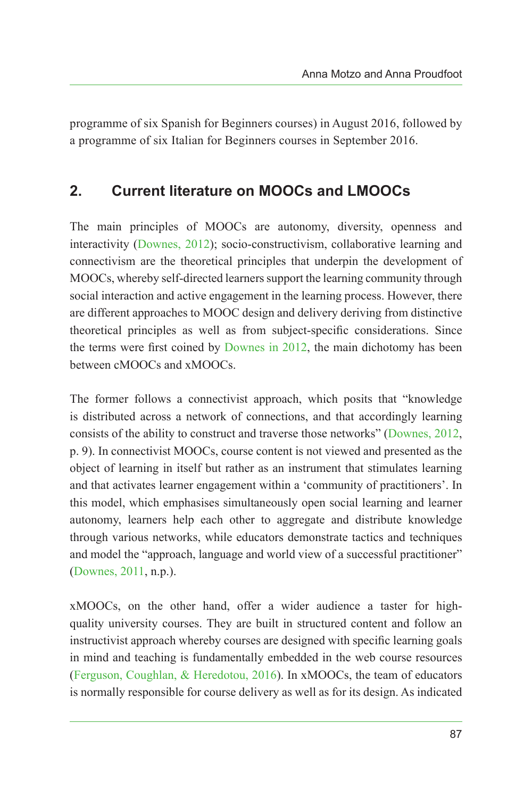programme of six Spanish for Beginners courses) in August 2016, followed by a programme of six Italian for Beginners courses in September 2016.

# **2. Current literature on MOOCs and LMOOCs**

The main principles of MOOCs are autonomy, diversity, openness and interactivity ([Downes, 2012](#page-11-0)); socio-constructivism, collaborative learning and connectivism are the theoretical principles that underpin the development of MOOCs, whereby self-directed learners support the learning community through social interaction and active engagement in the learning process. However, there are different approaches to MOOC design and delivery deriving from distinctive theoretical principles as well as from subject-specific considerations. Since the terms were first coined by [Downes in 2012](#page-11-0), the main dichotomy has been between cMOOCs and xMOOCs.

The former follows a connectivist approach, which posits that "knowledge is distributed across a network of connections, and that accordingly learning consists of the ability to construct and traverse those networks" [\(Downes, 2012,](#page-11-0) p. 9). In connectivist MOOCs, course content is not viewed and presented as the object of learning in itself but rather as an instrument that stimulates learning and that activates learner engagement within a 'community of practitioners'. In this model, which emphasises simultaneously open social learning and learner autonomy, learners help each other to aggregate and distribute knowledge through various networks, while educators demonstrate tactics and techniques and model the "approach, language and world view of a successful practitioner" [\(Downes, 2011](#page-11-1), n.p.).

xMOOCs, on the other hand, offer a wider audience a taster for highquality university courses. They are built in structured content and follow an instructivist approach whereby courses are designed with specific learning goals in mind and teaching is fundamentally embedded in the web course resources [\(Ferguson, Coughlan, & Heredotou, 2016\)](#page-12-4). In xMOOCs, the team of educators is normally responsible for course delivery as well as for its design. As indicated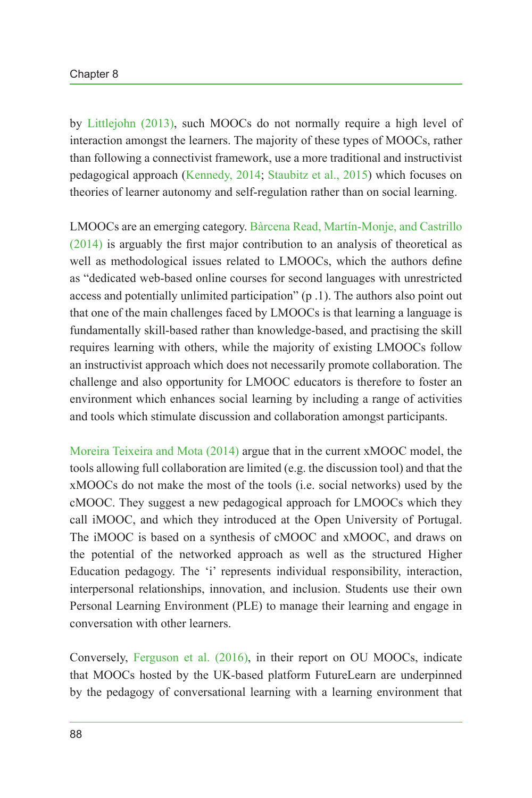by [Littlejohn \(2013\)](#page-12-5), such MOOCs do not normally require a high level of interaction amongst the learners. The majority of these types of MOOCs, rather than following a connectivist framework, use a more traditional and instructivist pedagogical approach ([Kennedy, 2014;](#page-12-6) [Staubitz et al., 2015\)](#page-12-7) which focuses on theories of learner autonomy and self-regulation rather than on social learning.

LMOOCs are an emerging category. [Bàrcena Read, Martín-Monje, and Castrillo](#page-11-2) [\(2014\)](#page-11-2) is arguably the first major contribution to an analysis of theoretical as well as methodological issues related to LMOOCs, which the authors define as "dedicated web-based online courses for second languages with unrestricted access and potentially unlimited participation" (p .1). The authors also point out that one of the main challenges faced by LMOOCs is that learning a language is fundamentally skill-based rather than knowledge-based, and practising the skill requires learning with others, while the majority of existing LMOOCs follow an instructivist approach which does not necessarily promote collaboration. The challenge and also opportunity for LMOOC educators is therefore to foster an environment which enhances social learning by including a range of activities and tools which stimulate discussion and collaboration amongst participants.

[Moreira Teixeira and Mota \(2014\)](#page-12-8) argue that in the current xMOOC model, the tools allowing full collaboration are limited (e.g. the discussion tool) and that the xMOOCs do not make the most of the tools (i.e. social networks) used by the cMOOC. They suggest a new pedagogical approach for LMOOCs which they call iMOOC, and which they introduced at the Open University of Portugal. The iMOOC is based on a synthesis of cMOOC and xMOOC, and draws on the potential of the networked approach as well as the structured Higher Education pedagogy. The 'i' represents individual responsibility, interaction, interpersonal relationships, innovation, and inclusion. Students use their own Personal Learning Environment (PLE) to manage their learning and engage in conversation with other learners.

Conversely, [Ferguson et al. \(2016\)](#page-12-4), in their report on OU MOOCs, indicate that MOOCs hosted by the UK-based platform FutureLearn are underpinned by the pedagogy of conversational learning with a learning environment that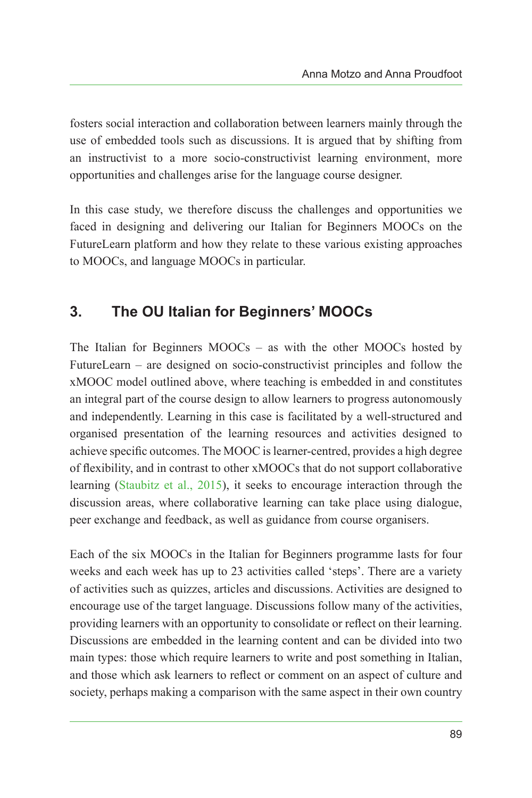fosters social interaction and collaboration between learners mainly through the use of embedded tools such as discussions. It is argued that by shifting from an instructivist to a more socio-constructivist learning environment, more opportunities and challenges arise for the language course designer.

In this case study, we therefore discuss the challenges and opportunities we faced in designing and delivering our Italian for Beginners MOOCs on the FutureLearn platform and how they relate to these various existing approaches to MOOCs, and language MOOCs in particular.

# **3. The OU Italian for Beginners' MOOCs**

The Italian for Beginners MOOCs – as with the other MOOCs hosted by FutureLearn – are designed on socio-constructivist principles and follow the xMOOC model outlined above, where teaching is embedded in and constitutes an integral part of the course design to allow learners to progress autonomously and independently. Learning in this case is facilitated by a well-structured and organised presentation of the learning resources and activities designed to achieve specific outcomes. The MOOC is learner-centred, provides a high degree of flexibility, and in contrast to other xMOOCs that do not support collaborative learning ([Staubitz et al., 2015](#page-12-7)), it seeks to encourage interaction through the discussion areas, where collaborative learning can take place using dialogue, peer exchange and feedback, as well as guidance from course organisers.

Each of the six MOOCs in the Italian for Beginners programme lasts for four weeks and each week has up to 23 activities called 'steps'. There are a variety of activities such as quizzes, articles and discussions. Activities are designed to encourage use of the target language. Discussions follow many of the activities, providing learners with an opportunity to consolidate or reflect on their learning. Discussions are embedded in the learning content and can be divided into two main types: those which require learners to write and post something in Italian, and those which ask learners to reflect or comment on an aspect of culture and society, perhaps making a comparison with the same aspect in their own country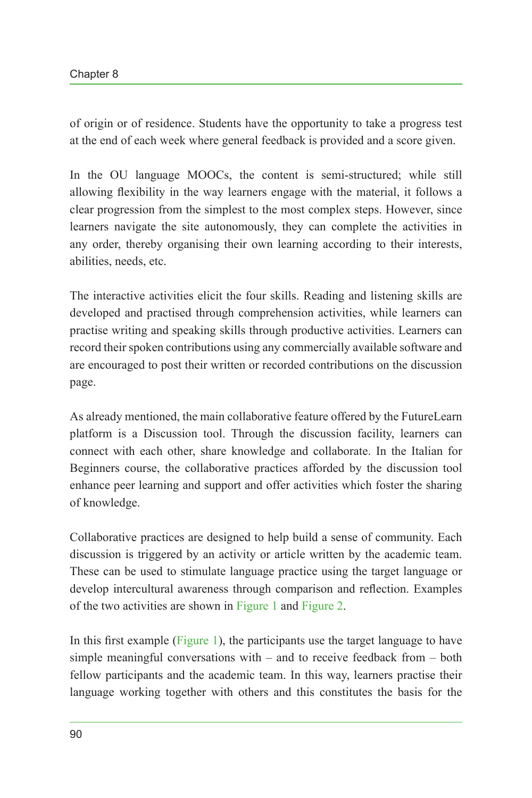of origin or of residence. Students have the opportunity to take a progress test at the end of each week where general feedback is provided and a score given.

In the OU language MOOCs, the content is semi-structured; while still allowing flexibility in the way learners engage with the material, it follows a clear progression from the simplest to the most complex steps. However, since learners navigate the site autonomously, they can complete the activities in any order, thereby organising their own learning according to their interests, abilities, needs, etc.

The interactive activities elicit the four skills. Reading and listening skills are developed and practised through comprehension activities, while learners can practise writing and speaking skills through productive activities. Learners can record their spoken contributions using any commercially available software and are encouraged to post their written or recorded contributions on the discussion page.

As already mentioned, the main collaborative feature offered by the FutureLearn platform is a Discussion tool. Through the discussion facility, learners can connect with each other, share knowledge and collaborate. In the Italian for Beginners course, the collaborative practices afforded by the discussion tool enhance peer learning and support and offer activities which foster the sharing of knowledge.

Collaborative practices are designed to help build a sense of community. Each discussion is triggered by an activity or article written by the academic team. These can be used to stimulate language practice using the target language or develop intercultural awareness through comparison and reflection. Examples of the two activities are shown in [Figure 1](#page-6-0) and [Figure 2.](#page-6-1)

In this first example ([Figure 1](#page-6-0)), the participants use the target language to have simple meaningful conversations with – and to receive feedback from – both fellow participants and the academic team. In this way, learners practise their language working together with others and this constitutes the basis for the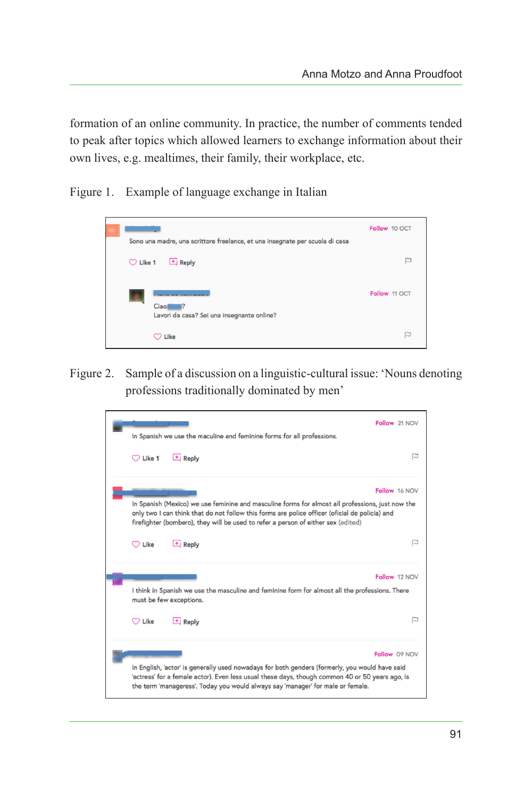formation of an online community. In practice, the number of comments tended to peak after topics which allowed learners to exchange information about their own lives, e.g. mealtimes, their family, their workplace, etc.

Figure 1. Example of language exchange in Italian

<span id="page-6-0"></span>

Figure 2. Sample of a discussion on a linguistic-cultural issue: 'Nouns denoting professions traditionally dominated by men'

<span id="page-6-1"></span>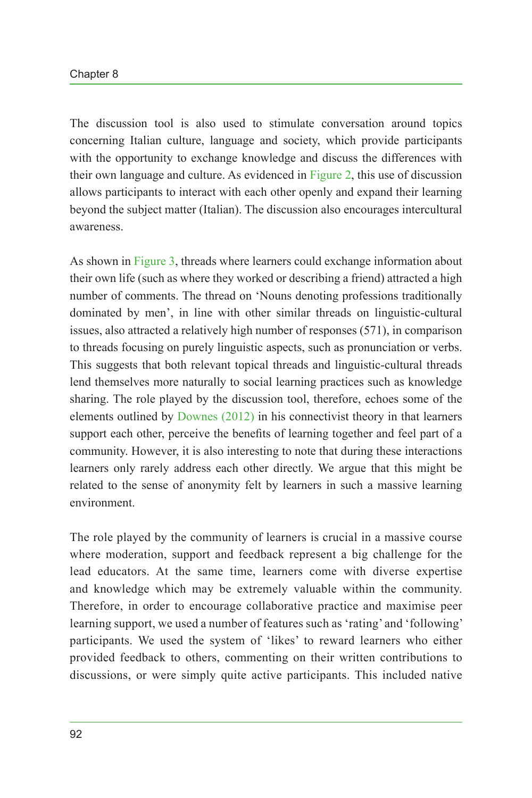#### Chapter 8

The discussion tool is also used to stimulate conversation around topics concerning Italian culture, language and society, which provide participants with the opportunity to exchange knowledge and discuss the differences with their own language and culture. As evidenced in [Figure 2](#page-6-1), this use of discussion allows participants to interact with each other openly and expand their learning beyond the subject matter (Italian). The discussion also encourages intercultural awareness.

As shown in [Figure 3](#page-8-0), threads where learners could exchange information about their own life (such as where they worked or describing a friend) attracted a high number of comments. The thread on 'Nouns denoting professions traditionally dominated by men', in line with other similar threads on linguistic-cultural issues, also attracted a relatively high number of responses (571), in comparison to threads focusing on purely linguistic aspects, such as pronunciation or verbs. This suggests that both relevant topical threads and linguistic-cultural threads lend themselves more naturally to social learning practices such as knowledge sharing. The role played by the discussion tool, therefore, echoes some of the elements outlined by [Downes \(2012\)](#page-11-0) in his connectivist theory in that learners support each other, perceive the benefits of learning together and feel part of a community. However, it is also interesting to note that during these interactions learners only rarely address each other directly. We argue that this might be related to the sense of anonymity felt by learners in such a massive learning environment.

The role played by the community of learners is crucial in a massive course where moderation, support and feedback represent a big challenge for the lead educators. At the same time, learners come with diverse expertise and knowledge which may be extremely valuable within the community. Therefore, in order to encourage collaborative practice and maximise peer learning support, we used a number of features such as 'rating' and 'following' participants. We used the system of 'likes' to reward learners who either provided feedback to others, commenting on their written contributions to discussions, or were simply quite active participants. This included native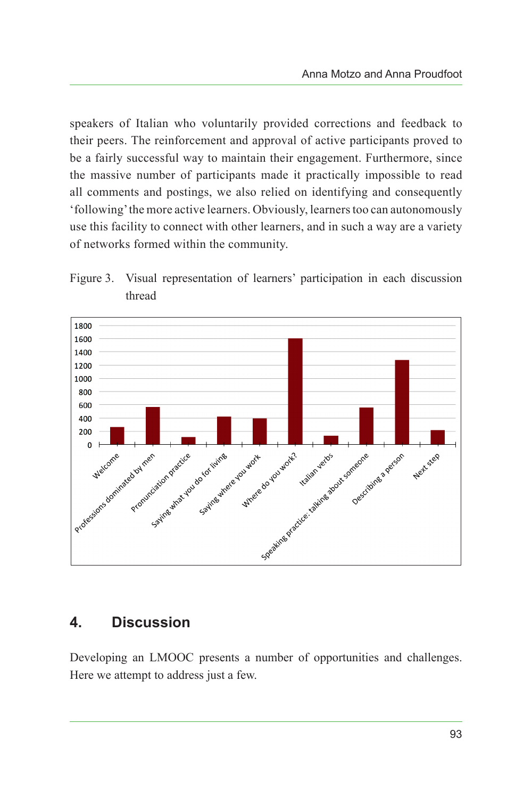speakers of Italian who voluntarily provided corrections and feedback to their peers. The reinforcement and approval of active participants proved to be a fairly successful way to maintain their engagement. Furthermore, since the massive number of participants made it practically impossible to read all comments and postings, we also relied on identifying and consequently 'following' the more active learners. Obviously, learners too can autonomously use this facility to connect with other learners, and in such a way are a variety of networks formed within the community.

<span id="page-8-0"></span>



# **4. Discussion**

Developing an LMOOC presents a number of opportunities and challenges. Here we attempt to address just a few.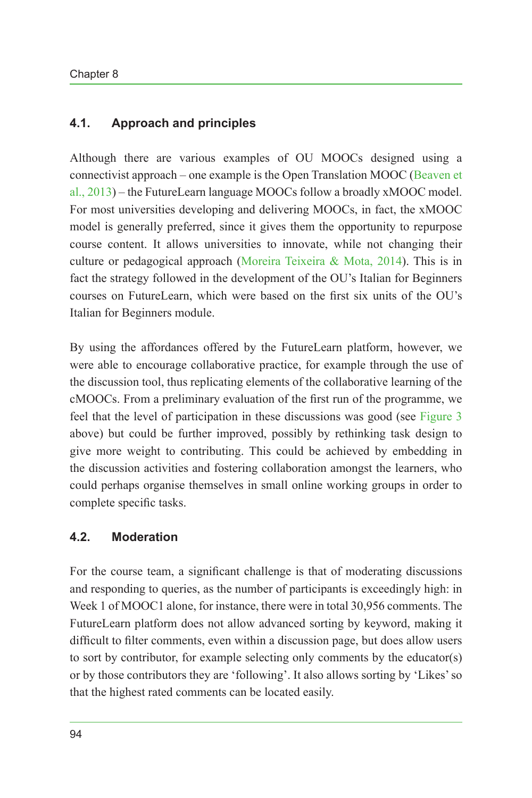### **4.1. Approach and principles**

Although there are various examples of OU MOOCs designed using a connectivist approach – one example is the Open Translation MOOC ([Beaven et](#page-11-3) [al., 2013\)](#page-11-3) – the FutureLearn language MOOCs follow a broadly xMOOC model. For most universities developing and delivering MOOCs, in fact, the xMOOC model is generally preferred, since it gives them the opportunity to repurpose course content. It allows universities to innovate, while not changing their culture or pedagogical approach ([Moreira Teixeira & Mota, 2014](#page-12-8)). This is in fact the strategy followed in the development of the OU's Italian for Beginners courses on FutureLearn, which were based on the first six units of the OU's Italian for Beginners module.

By using the affordances offered by the FutureLearn platform, however, we were able to encourage collaborative practice, for example through the use of the discussion tool, thus replicating elements of the collaborative learning of the cMOOCs. From a preliminary evaluation of the first run of the programme, we feel that the level of participation in these discussions was good (see [Figure](#page-8-0) 3 above) but could be further improved, possibly by rethinking task design to give more weight to contributing. This could be achieved by embedding in the discussion activities and fostering collaboration amongst the learners, who could perhaps organise themselves in small online working groups in order to complete specific tasks.

#### **4.2. Moderation**

For the course team, a significant challenge is that of moderating discussions and responding to queries, as the number of participants is exceedingly high: in Week 1 of MOOC1 alone, for instance, there were in total 30,956 comments. The FutureLearn platform does not allow advanced sorting by keyword, making it difficult to filter comments, even within a discussion page, but does allow users to sort by contributor, for example selecting only comments by the educator(s) or by those contributors they are 'following'. It also allows sorting by 'Likes' so that the highest rated comments can be located easily.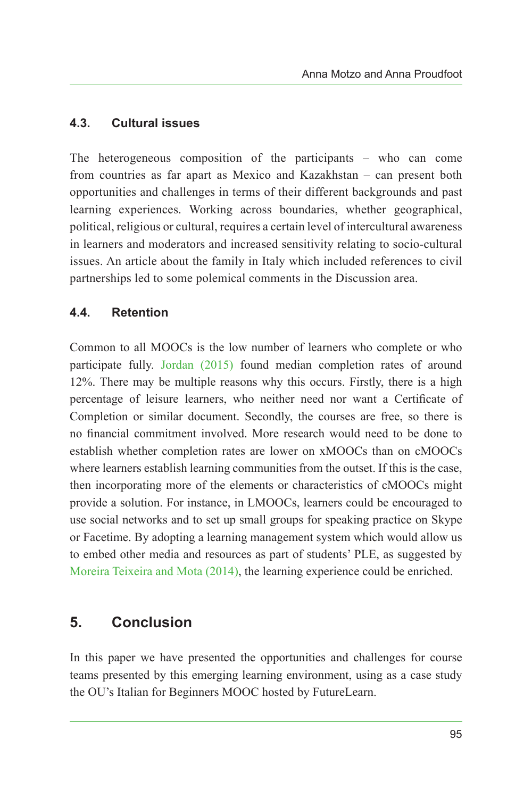#### **4.3. Cultural issues**

The heterogeneous composition of the participants – who can come from countries as far apart as Mexico and Kazakhstan – can present both opportunities and challenges in terms of their different backgrounds and past learning experiences. Working across boundaries, whether geographical, political, religious or cultural, requires a certain level of intercultural awareness in learners and moderators and increased sensitivity relating to socio-cultural issues. An article about the family in Italy which included references to civil partnerships led to some polemical comments in the Discussion area.

#### **4.4. Retention**

Common to all MOOCs is the low number of learners who complete or who participate fully. [Jordan \(2015\)](#page-12-9) found median completion rates of around 12%. There may be multiple reasons why this occurs. Firstly, there is a high percentage of leisure learners, who neither need nor want a Certificate of Completion or similar document. Secondly, the courses are free, so there is no financial commitment involved. More research would need to be done to establish whether completion rates are lower on xMOOCs than on cMOOCs where learners establish learning communities from the outset. If this is the case, then incorporating more of the elements or characteristics of cMOOCs might provide a solution. For instance, in LMOOCs, learners could be encouraged to use social networks and to set up small groups for speaking practice on Skype or Facetime. By adopting a learning management system which would allow us to embed other media and resources as part of students' PLE, as suggested by [Moreira Teixeira and Mota \(2014\),](#page-12-8) the learning experience could be enriched.

# **5. Conclusion**

In this paper we have presented the opportunities and challenges for course teams presented by this emerging learning environment, using as a case study the OU's Italian for Beginners MOOC hosted by FutureLearn.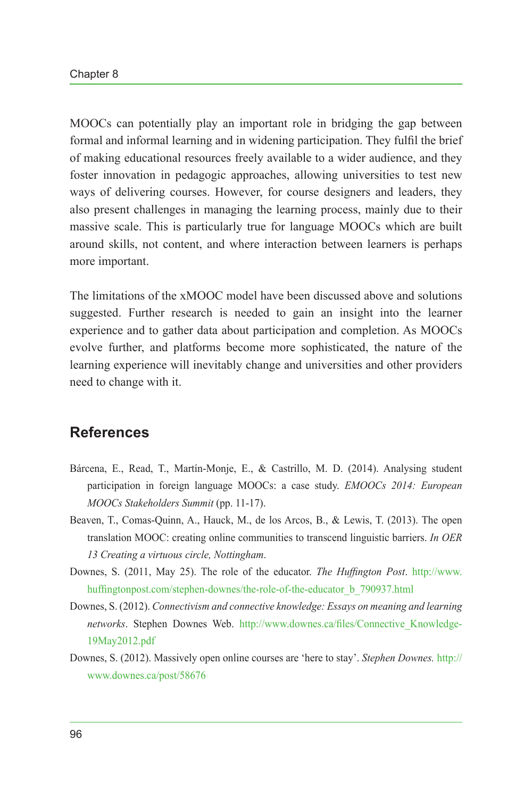MOOCs can potentially play an important role in bridging the gap between formal and informal learning and in widening participation. They fulfil the brief of making educational resources freely available to a wider audience, and they foster innovation in pedagogic approaches, allowing universities to test new ways of delivering courses. However, for course designers and leaders, they also present challenges in managing the learning process, mainly due to their massive scale. This is particularly true for language MOOCs which are built around skills, not content, and where interaction between learners is perhaps more important.

The limitations of the xMOOC model have been discussed above and solutions suggested. Further research is needed to gain an insight into the learner experience and to gather data about participation and completion. As MOOCs evolve further, and platforms become more sophisticated, the nature of the learning experience will inevitably change and universities and other providers need to change with it.

# **References**

- <span id="page-11-2"></span>Bárcena, E., Read, T., Martín-Monje, E., & Castrillo, M. D. (2014). Analysing student participation in foreign language MOOCs: a case study. *EMOOCs 2014: European MOOCs Stakeholders Summit* (pp. 11-17).
- <span id="page-11-3"></span>Beaven, T., Comas-Quinn, A., Hauck, M., de los Arcos, B., & Lewis, T. (2013). The open translation MOOC: creating online communities to transcend linguistic barriers. *In OER 13 Creating a virtuous circle, Nottingham*.
- <span id="page-11-1"></span>Downes, S. (2011, May 25). The role of the educator. *The Huffington Post*. [http://www.](http://www.huffingtonpost.com/stephen-downes/the-role-of-the-educator_b_790937.html) [huffingtonpost.com/stephen-downes/the-role-of-the-educator\\_b\\_790937.html](http://www.huffingtonpost.com/stephen-downes/the-role-of-the-educator_b_790937.html)
- <span id="page-11-0"></span>Downes, S. (2012). *Connectivism and connective knowledge: Essays on meaning and learning networks*. Stephen Downes Web. [http://www.downes.ca/files/Connective\\_Knowledge-](http://www.downes.ca/files/Connective_Knowledge-19May2012.pdf)[19May2012.pdf](http://www.downes.ca/files/Connective_Knowledge-19May2012.pdf)
- Downes, S. (2012). Massively open online courses are 'here to stay'. *Stephen Downes.* [http://](http://www.downes.ca/post/58676) [www.downes.ca/post/58676](http://www.downes.ca/post/58676)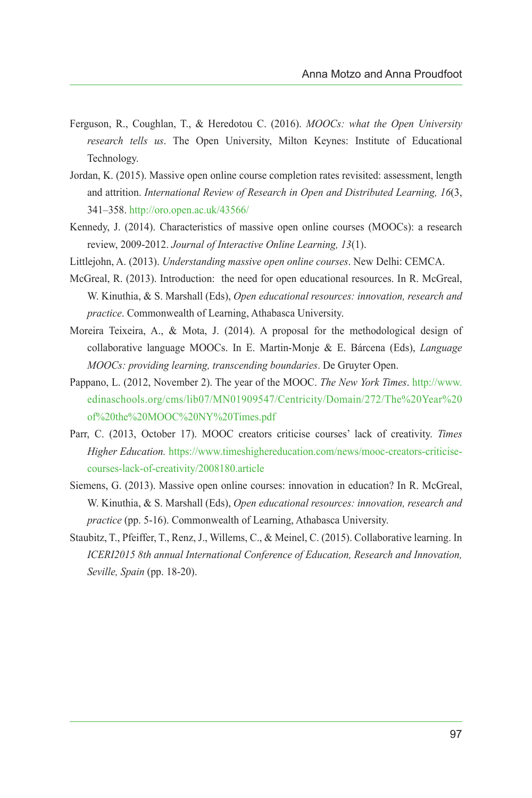- <span id="page-12-4"></span>Ferguson, R., Coughlan, T., & Heredotou C. (2016). *MOOCs: what the Open University research tells us*. The Open University, Milton Keynes: Institute of Educational Technology.
- <span id="page-12-9"></span>Jordan, K. (2015). Massive open online course completion rates revisited: assessment, length and attrition. *International Review of Research in Open and Distributed Learning, 16*(3, 341–358.<http://oro.open.ac.uk/43566/>
- <span id="page-12-6"></span>Kennedy, J. (2014). Characteristics of massive open online courses (MOOCs): a research review, 2009-2012. *Journal of Interactive Online Learning, 13*(1).
- <span id="page-12-5"></span>Littlejohn, A. (2013). *Understanding massive open online courses*. New Delhi: CEMCA.
- <span id="page-12-0"></span>McGreal, R. (2013). Introduction: the need for open educational resources. In R. McGreal, W. Kinuthia, & S. Marshall (Eds), *Open educational resources: innovation, research and practice*. Commonwealth of Learning, Athabasca University.
- <span id="page-12-8"></span>Moreira Teixeira, A., & Mota, J. (2014). A proposal for the methodological design of collaborative language MOOCs. In E. Martin-Monje & E. Bárcena (Eds), *Language MOOCs: providing learning, transcending boundaries*. De Gruyter Open.
- <span id="page-12-3"></span>Pappano, L. (2012, November 2). The year of the MOOC. *The New York Times*. [http://www.](http://www.edinaschools.org/cms/lib07/MN01909547/Centricity/Domain/272/The%20Year%20of%20the%20MOOC%20NY%20Times.pdf) [edinaschools.org/cms/lib07/MN01909547/Centricity/Domain/272/The%20Year%20](http://www.edinaschools.org/cms/lib07/MN01909547/Centricity/Domain/272/The%20Year%20of%20the%20MOOC%20NY%20Times.pdf) [of%20the%20MOOC%20NY%20Times.pdf](http://www.edinaschools.org/cms/lib07/MN01909547/Centricity/Domain/272/The%20Year%20of%20the%20MOOC%20NY%20Times.pdf)
- <span id="page-12-2"></span>Parr, C. (2013, October 17). MOOC creators criticise courses' lack of creativity. *Times Higher Education.* [https://www.timeshighereducation.com/news/mooc-creators-criticise](https://www.timeshighereducation.com/news/mooc-creators-criticise-courses-lack-of-creativity/2008180)[courses-lack-of-creativity/2008180.article](https://www.timeshighereducation.com/news/mooc-creators-criticise-courses-lack-of-creativity/2008180)
- <span id="page-12-1"></span>Siemens, G. (2013). Massive open online courses: innovation in education? In R. McGreal, W. Kinuthia, & S. Marshall (Eds), *Open educational resources: innovation, research and practice* (pp. 5-16). Commonwealth of Learning, Athabasca University.
- <span id="page-12-7"></span>Staubitz, T., Pfeiffer, T., Renz, J., Willems, C., & Meinel, C. (2015). Collaborative learning. In *ICERI2015 8th annual International Conference of Education, Research and Innovation, Seville, Spain* (pp. 18-20).